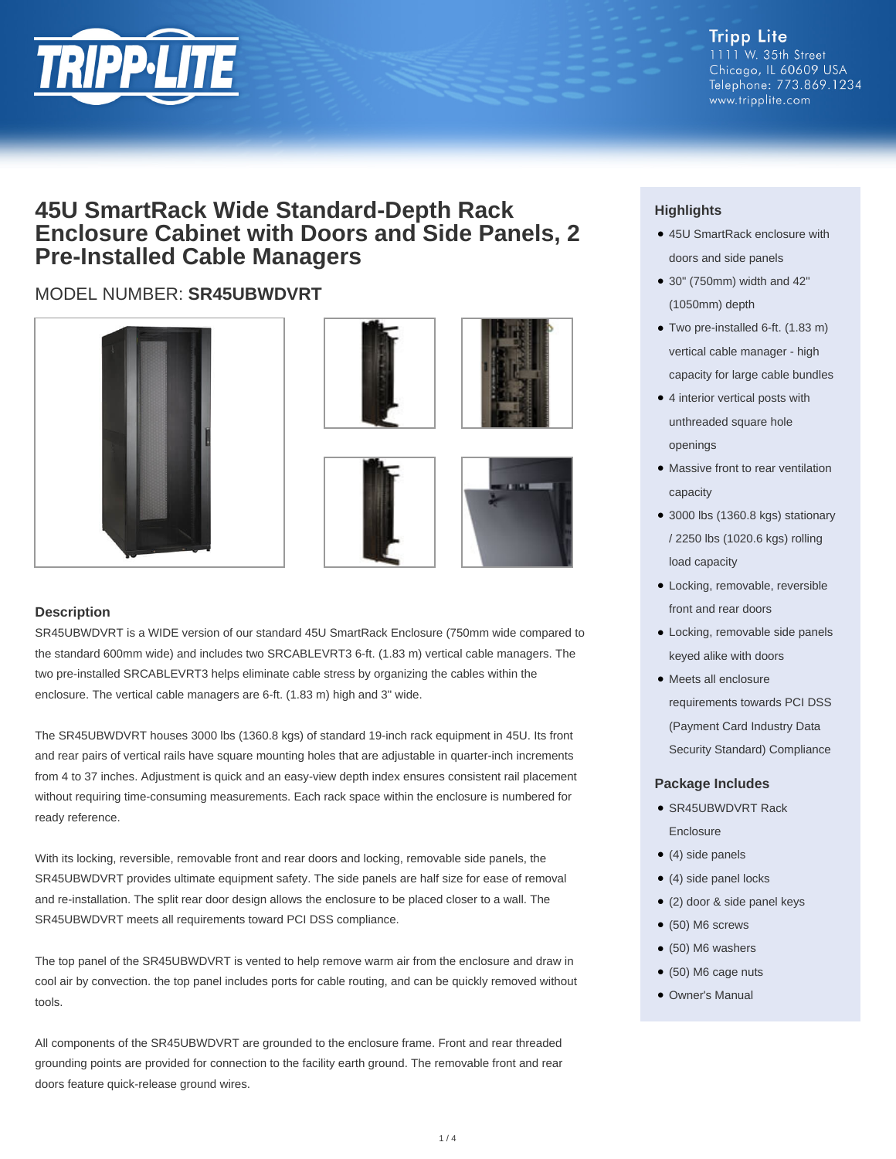

#### **Tripp Lite** 1111 W. 35th Street Chicago, IL 60609 USA Telephone: 773.869.1234 www.tripplite.com

## **45U SmartRack Wide Standard-Depth Rack Enclosure Cabinet with Doors and Side Panels, 2 Pre-Installed Cable Managers**

### MODEL NUMBER: **SR45UBWDVRT**









#### **Description**

SR45UBWDVRT is a WIDE version of our standard 45U SmartRack Enclosure (750mm wide compared to the standard 600mm wide) and includes two SRCABLEVRT3 6-ft. (1.83 m) vertical cable managers. The two pre-installed SRCABLEVRT3 helps eliminate cable stress by organizing the cables within the enclosure. The vertical cable managers are 6-ft. (1.83 m) high and 3" wide.

The SR45UBWDVRT houses 3000 lbs (1360.8 kgs) of standard 19-inch rack equipment in 45U. Its front and rear pairs of vertical rails have square mounting holes that are adjustable in quarter-inch increments from 4 to 37 inches. Adjustment is quick and an easy-view depth index ensures consistent rail placement without requiring time-consuming measurements. Each rack space within the enclosure is numbered for ready reference.

With its locking, reversible, removable front and rear doors and locking, removable side panels, the SR45UBWDVRT provides ultimate equipment safety. The side panels are half size for ease of removal and re-installation. The split rear door design allows the enclosure to be placed closer to a wall. The SR45UBWDVRT meets all requirements toward PCI DSS compliance.

The top panel of the SR45UBWDVRT is vented to help remove warm air from the enclosure and draw in cool air by convection. the top panel includes ports for cable routing, and can be quickly removed without tools.

All components of the SR45UBWDVRT are grounded to the enclosure frame. Front and rear threaded grounding points are provided for connection to the facility earth ground. The removable front and rear doors feature quick-release ground wires.

### **Highlights**

- 45U SmartRack enclosure with doors and side panels
- 30" (750mm) width and 42" (1050mm) depth
- Two pre-installed 6-ft. (1.83 m) vertical cable manager - high capacity for large cable bundles
- 4 interior vertical posts with unthreaded square hole openings
- Massive front to rear ventilation capacity
- 3000 lbs (1360.8 kgs) stationary / 2250 lbs (1020.6 kgs) rolling load capacity
- Locking, removable, reversible front and rear doors
- Locking, removable side panels keyed alike with doors
- Meets all enclosure requirements towards PCI DSS (Payment Card Industry Data Security Standard) Compliance

#### **Package Includes**

- SR45UBWDVRT Rack Enclosure
- $\bullet$  (4) side panels
- (4) side panel locks
- (2) door & side panel keys
- (50) M6 screws
- (50) M6 washers
- (50) M6 cage nuts
- Owner's Manual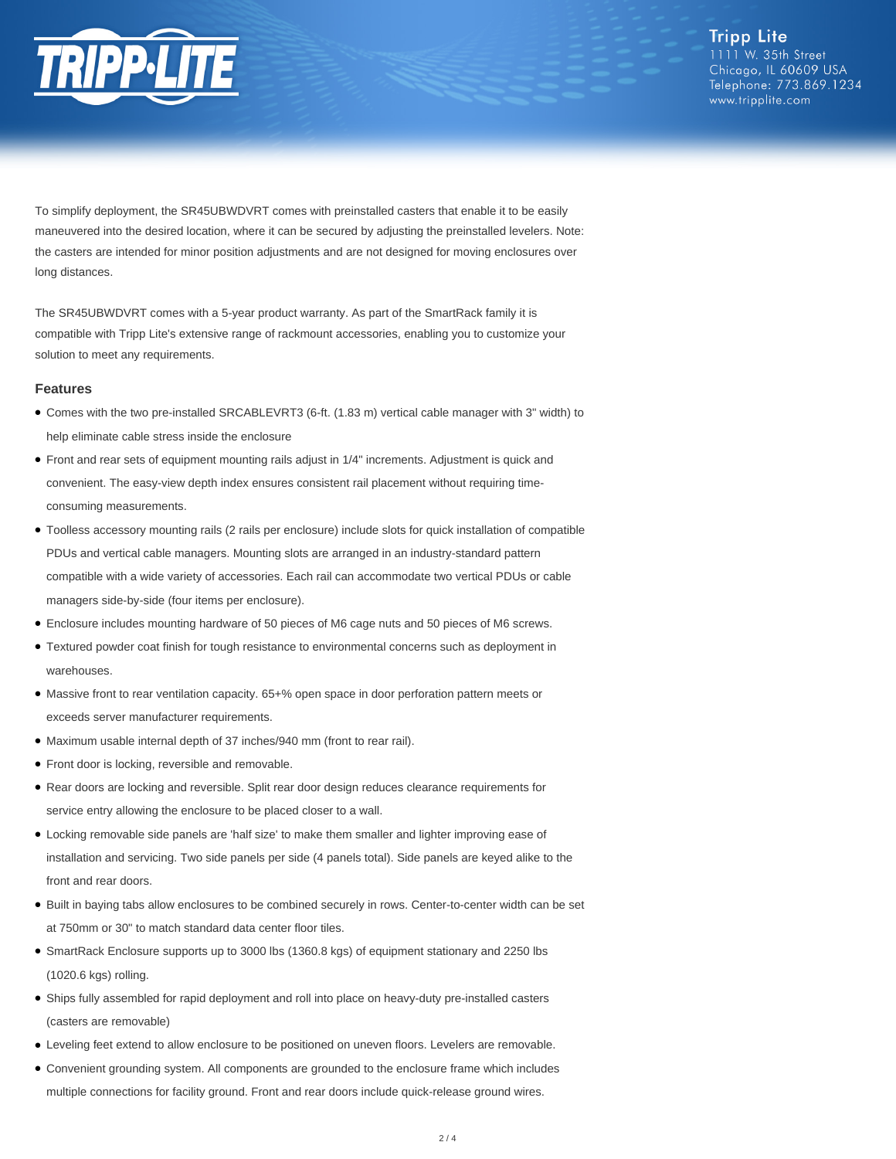

**Tripp Lite** 1111 W. 35th Street Chicago, IL 60609 USA Telephone: 773.869.1234 www.tripplite.com

To simplify deployment, the SR45UBWDVRT comes with preinstalled casters that enable it to be easily maneuvered into the desired location, where it can be secured by adjusting the preinstalled levelers. Note: the casters are intended for minor position adjustments and are not designed for moving enclosures over long distances.

The SR45UBWDVRT comes with a 5-year product warranty. As part of the SmartRack family it is compatible with Tripp Lite's extensive range of rackmount accessories, enabling you to customize your solution to meet any requirements.

#### **Features**

- Comes with the two pre-installed SRCABLEVRT3 (6-ft. (1.83 m) vertical cable manager with 3" width) to help eliminate cable stress inside the enclosure
- Front and rear sets of equipment mounting rails adjust in 1/4" increments. Adjustment is quick and convenient. The easy-view depth index ensures consistent rail placement without requiring timeconsuming measurements.
- Toolless accessory mounting rails (2 rails per enclosure) include slots for quick installation of compatible PDUs and vertical cable managers. Mounting slots are arranged in an industry-standard pattern compatible with a wide variety of accessories. Each rail can accommodate two vertical PDUs or cable managers side-by-side (four items per enclosure).
- Enclosure includes mounting hardware of 50 pieces of M6 cage nuts and 50 pieces of M6 screws.
- Textured powder coat finish for tough resistance to environmental concerns such as deployment in warehouses.
- Massive front to rear ventilation capacity. 65+% open space in door perforation pattern meets or exceeds server manufacturer requirements.
- Maximum usable internal depth of 37 inches/940 mm (front to rear rail).
- Front door is locking, reversible and removable.
- Rear doors are locking and reversible. Split rear door design reduces clearance requirements for service entry allowing the enclosure to be placed closer to a wall.
- Locking removable side panels are 'half size' to make them smaller and lighter improving ease of installation and servicing. Two side panels per side (4 panels total). Side panels are keyed alike to the front and rear doors.
- Built in baying tabs allow enclosures to be combined securely in rows. Center-to-center width can be set at 750mm or 30" to match standard data center floor tiles.
- SmartRack Enclosure supports up to 3000 lbs (1360.8 kgs) of equipment stationary and 2250 lbs (1020.6 kgs) rolling.
- Ships fully assembled for rapid deployment and roll into place on heavy-duty pre-installed casters (casters are removable)
- Leveling feet extend to allow enclosure to be positioned on uneven floors. Levelers are removable.
- Convenient grounding system. All components are grounded to the enclosure frame which includes multiple connections for facility ground. Front and rear doors include quick-release ground wires.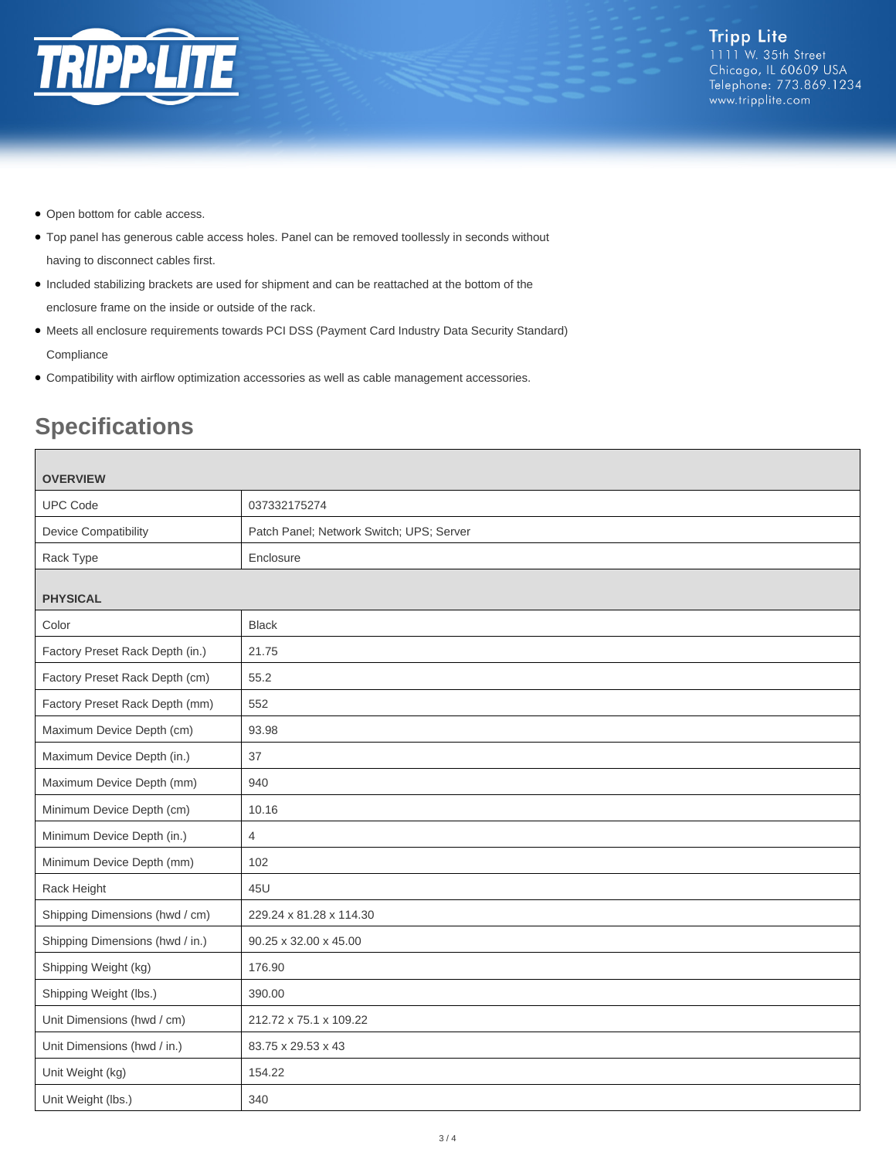

- Open bottom for cable access.
- Top panel has generous cable access holes. Panel can be removed toollessly in seconds without having to disconnect cables first.
- Included stabilizing brackets are used for shipment and can be reattached at the bottom of the enclosure frame on the inside or outside of the rack.
- Meets all enclosure requirements towards PCI DSS (Payment Card Industry Data Security Standard) **Compliance**
- Compatibility with airflow optimization accessories as well as cable management accessories.

# **Specifications**

| <b>OVERVIEW</b>                 |                                          |
|---------------------------------|------------------------------------------|
| <b>UPC Code</b>                 | 037332175274                             |
| <b>Device Compatibility</b>     | Patch Panel; Network Switch; UPS; Server |
| Rack Type                       | Enclosure                                |
| <b>PHYSICAL</b>                 |                                          |
| Color                           | <b>Black</b>                             |
| Factory Preset Rack Depth (in.) | 21.75                                    |
| Factory Preset Rack Depth (cm)  | 55.2                                     |
| Factory Preset Rack Depth (mm)  | 552                                      |
| Maximum Device Depth (cm)       | 93.98                                    |
| Maximum Device Depth (in.)      | 37                                       |
| Maximum Device Depth (mm)       | 940                                      |
| Minimum Device Depth (cm)       | 10.16                                    |
| Minimum Device Depth (in.)      | $\overline{4}$                           |
| Minimum Device Depth (mm)       | 102                                      |
| Rack Height                     | 45U                                      |
| Shipping Dimensions (hwd / cm)  | 229.24 x 81.28 x 114.30                  |
| Shipping Dimensions (hwd / in.) | 90.25 x 32.00 x 45.00                    |
| Shipping Weight (kg)            | 176.90                                   |
| Shipping Weight (lbs.)          | 390.00                                   |
| Unit Dimensions (hwd / cm)      | 212.72 x 75.1 x 109.22                   |
| Unit Dimensions (hwd / in.)     | 83.75 x 29.53 x 43                       |
| Unit Weight (kg)                | 154.22                                   |
| Unit Weight (lbs.)              | 340                                      |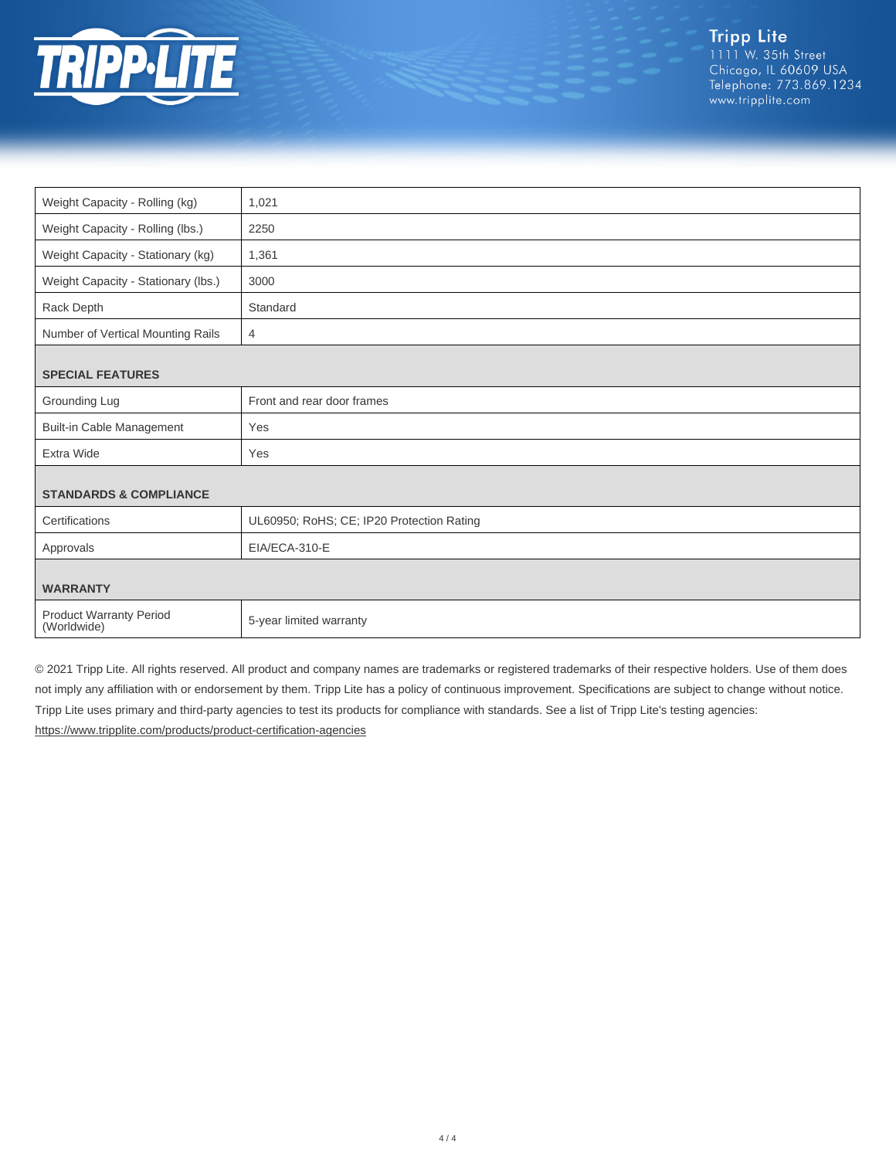

| Weight Capacity - Rolling (kg)                | 1,021                                     |
|-----------------------------------------------|-------------------------------------------|
| Weight Capacity - Rolling (lbs.)              | 2250                                      |
| Weight Capacity - Stationary (kg)             | 1,361                                     |
| Weight Capacity - Stationary (lbs.)           | 3000                                      |
| Rack Depth                                    | Standard                                  |
| Number of Vertical Mounting Rails             | $\overline{4}$                            |
|                                               |                                           |
| <b>SPECIAL FEATURES</b>                       |                                           |
| Grounding Lug                                 | Front and rear door frames                |
| <b>Built-in Cable Management</b>              | Yes                                       |
| Extra Wide                                    | Yes                                       |
|                                               |                                           |
| <b>STANDARDS &amp; COMPLIANCE</b>             |                                           |
| Certifications                                | UL60950; RoHS; CE; IP20 Protection Rating |
| Approvals                                     | EIA/ECA-310-E                             |
|                                               |                                           |
| <b>WARRANTY</b>                               |                                           |
| <b>Product Warranty Period</b><br>(Worldwide) | 5-year limited warranty                   |

© 2021 Tripp Lite. All rights reserved. All product and company names are trademarks or registered trademarks of their respective holders. Use of them does not imply any affiliation with or endorsement by them. Tripp Lite has a policy of continuous improvement. Specifications are subject to change without notice. Tripp Lite uses primary and third-party agencies to test its products for compliance with standards. See a list of Tripp Lite's testing agencies: <https://www.tripplite.com/products/product-certification-agencies>

 $4/4$